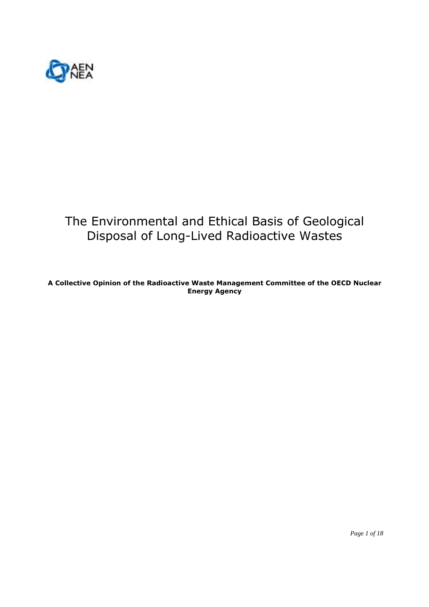

# The Environmental and Ethical Basis of Geological Disposal of Long-Lived Radioactive Wastes

A Collective Opinion of the Radioactive Waste Management Committee of the OECD Nuclear **Energy Agency** 

Page 1 of 18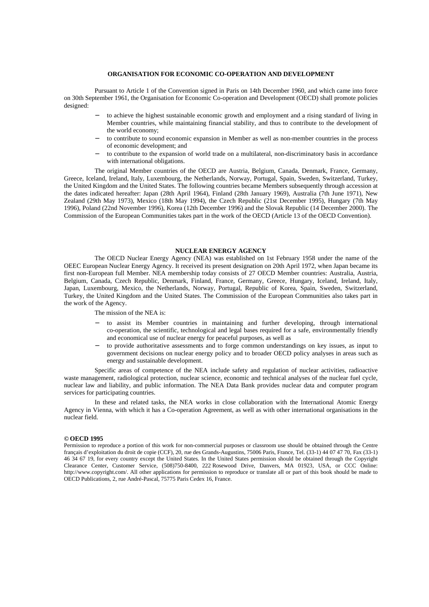#### **ORGANISATION FOR ECONOMIC CO-OPERATION AND DEVELOPMENT**

Pursuant to Article 1 of the Convention signed in Paris on 14th December 1960, and which came into force on 30th September 1961, the Organisation for Economic Co-operation and Development (OECD) shall promote policies designed:

- to achieve the highest sustainable economic growth and employment and a rising standard of living in Member countries, while maintaining financial stability, and thus to contribute to the development of the world economy;
- to contribute to sound economic expansion in Member as well as non-member countries in the process of economic development; and
- to contribute to the expansion of world trade on a multilateral, non-discriminatory basis in accordance with international obligations.

The original Member countries of the OECD are Austria, Belgium, Canada, Denmark, France, Germany, Greece, Iceland, Ireland, Italy, Luxembourg, the Netherlands, Norway, Portugal, Spain, Sweden, Switzerland, Turkey, the United Kingdom and the United States. The following countries became Members subsequently through accession at the dates indicated hereafter: Japan (28th April 1964), Finland (28th January 1969), Australia (7th June 1971), New Zealand (29th May 1973), Mexico (18th May 1994), the Czech Republic (21st December 1995), Hungary (7th May 1996), Poland (22nd November 1996), Korea (12th December 1996) and the Slovak Republic (14 December 2000). The Commission of the European Communities takes part in the work of the OECD (Article 13 of the OECD Convention).

#### **NUCLEAR ENERGY AGENCY**

The OECD Nuclear Energy Agency (NEA) was established on 1st February 1958 under the name of the OEEC European Nuclear Energy Agency. It received its present designation on 20th April 1972, when Japan became its first non-European full Member. NEA membership today consists of 27 OECD Member countries: Australia, Austria, Belgium, Canada, Czech Republic, Denmark, Finland, France, Germany, Greece, Hungary, Iceland, Ireland, Italy, Japan, Luxembourg, Mexico, the Netherlands, Norway, Portugal, Republic of Korea, Spain, Sweden, Switzerland, Turkey, the United Kingdom and the United States. The Commission of the European Communities also takes part in the work of the Agency.

The mission of the NEA is:

- to assist its Member countries in maintaining and further developing, through international co-operation, the scientific, technological and legal bases required for a safe, environmentally friendly and economical use of nuclear energy for peaceful purposes, as well as
- − to provide authoritative assessments and to forge common understandings on key issues, as input to government decisions on nuclear energy policy and to broader OECD policy analyses in areas such as energy and sustainable development.

Specific areas of competence of the NEA include safety and regulation of nuclear activities, radioactive waste management, radiological protection, nuclear science, economic and technical analyses of the nuclear fuel cycle, nuclear law and liability, and public information. The NEA Data Bank provides nuclear data and computer program services for participating countries.

In these and related tasks, the NEA works in close collaboration with the International Atomic Energy Agency in Vienna, with which it has a Co-operation Agreement, as well as with other international organisations in the nuclear field.

#### *©* **OECD 1995**

Permission to reproduce a portion of this work for non-commercial purposes or classroom use should be obtained through the Centre français d'exploitation du droit de copie (CCF), 20, rue des Grands-Augustins, 75006 Paris, France, Tel. (33-1) 44 07 47 70, Fax (33-1) 46 34 67 19, for every country except the United States. In the United States permission should be obtained through the Copyright Clearance Center, Customer Service, (508)750-8400, 222 Rosewood Drive, Danvers, MA 01923, USA, or CCC Online: http://www.copyright.com/. All other applications for permission to reproduce or translate all or part of this book should be made to OECD Publications, 2, rue André-Pascal, 75775 Paris Cedex 16, France.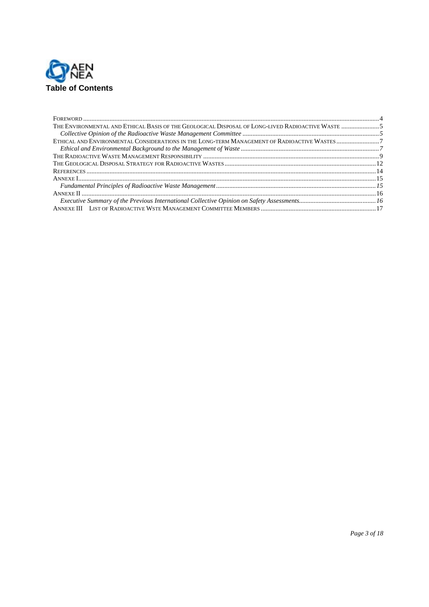

| THE ENVIRONMENTAL AND ETHICAL BASIS OF THE GEOLOGICAL DISPOSAL OF LONG-LIVED RADIOACTIVE WASTE 5 |  |
|--------------------------------------------------------------------------------------------------|--|
|                                                                                                  |  |
|                                                                                                  |  |
|                                                                                                  |  |
|                                                                                                  |  |
|                                                                                                  |  |
|                                                                                                  |  |
|                                                                                                  |  |
|                                                                                                  |  |
|                                                                                                  |  |
|                                                                                                  |  |
|                                                                                                  |  |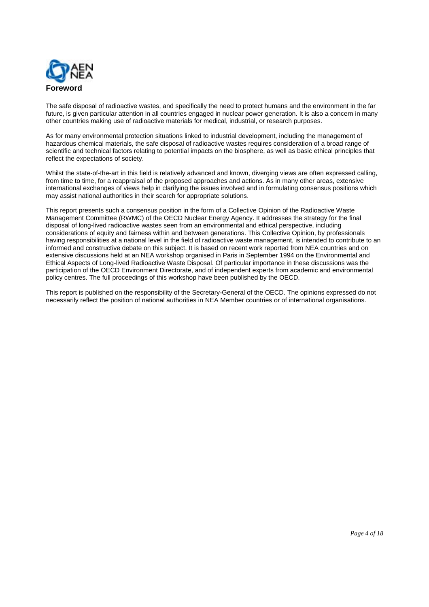

The safe disposal of radioactive wastes, and specifically the need to protect humans and the environment in the far future, is given particular attention in all countries engaged in nuclear power generation. It is also a concern in many other countries making use of radioactive materials for medical, industrial, or research purposes.

As for many environmental protection situations linked to industrial development, including the management of hazardous chemical materials, the safe disposal of radioactive wastes requires consideration of a broad range of scientific and technical factors relating to potential impacts on the biosphere, as well as basic ethical principles that reflect the expectations of society.

Whilst the state-of-the-art in this field is relatively advanced and known, diverging views are often expressed calling, from time to time, for a reappraisal of the proposed approaches and actions. As in many other areas, extensive international exchanges of views help in clarifying the issues involved and in formulating consensus positions which may assist national authorities in their search for appropriate solutions.

This report presents such a consensus position in the form of a Collective Opinion of the Radioactive Waste Management Committee (RWMC) of the OECD Nuclear Energy Agency. It addresses the strategy for the final disposal of long-lived radioactive wastes seen from an environmental and ethical perspective, including considerations of equity and fairness within and between generations. This Collective Opinion, by professionals having responsibilities at a national level in the field of radioactive waste management, is intended to contribute to an informed and constructive debate on this subject. It is based on recent work reported from NEA countries and on extensive discussions held at an NEA workshop organised in Paris in September 1994 on the Environmental and Ethical Aspects of Long-lived Radioactive Waste Disposal. Of particular importance in these discussions was the participation of the OECD Environment Directorate, and of independent experts from academic and environmental policy centres. The full proceedings of this workshop have been published by the OECD.

This report is published on the responsibility of the Secretary-General of the OECD. The opinions expressed do not necessarily reflect the position of national authorities in NEA Member countries or of international organisations.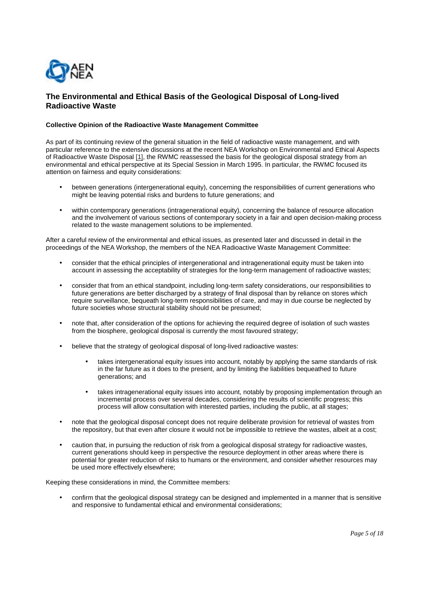

# **The Environmental and Ethical Basis of the Geological Disposal of Long-lived Radioactive Waste**

### **Collective Opinion of the Radioactive Waste Management Committee**

As part of its continuing review of the general situation in the field of radioactive waste management, and with particular reference to the extensive discussions at the recent NEA Workshop on Environmental and Ethical Aspects of Radioactive Waste Disposal [1], the RWMC reassessed the basis for the geological disposal strategy from an environmental and ethical perspective at its Special Session in March 1995. In particular, the RWMC focused its attention on fairness and equity considerations:

- between generations (intergenerational equity), concerning the responsibilities of current generations who might be leaving potential risks and burdens to future generations; and
- within contemporary generations (intragenerational equity), concerning the balance of resource allocation and the involvement of various sections of contemporary society in a fair and open decision-making process related to the waste management solutions to be implemented.

After a careful review of the environmental and ethical issues, as presented later and discussed in detail in the proceedings of the NEA Workshop, the members of the NEA Radioactive Waste Management Committee:

- consider that the ethical principles of intergenerational and intragenerational equity must be taken into account in assessing the acceptability of strategies for the long-term management of radioactive wastes;
- consider that from an ethical standpoint, including long-term safety considerations, our responsibilities to future generations are better discharged by a strategy of final disposal than by reliance on stores which require surveillance, bequeath long-term responsibilities of care, and may in due course be neglected by future societies whose structural stability should not be presumed;
- note that, after consideration of the options for achieving the required degree of isolation of such wastes from the biosphere, geological disposal is currently the most favoured strategy;
- believe that the strategy of geological disposal of long-lived radioactive wastes:
	- takes intergenerational equity issues into account, notably by applying the same standards of risk in the far future as it does to the present, and by limiting the liabilities bequeathed to future generations; and
	- takes intragenerational equity issues into account, notably by proposing implementation through an incremental process over several decades, considering the results of scientific progress; this process will allow consultation with interested parties, including the public, at all stages;
- note that the geological disposal concept does not require deliberate provision for retrieval of wastes from the repository, but that even after closure it would not be impossible to retrieve the wastes, albeit at a cost;
- caution that, in pursuing the reduction of risk from a geological disposal strategy for radioactive wastes, current generations should keep in perspective the resource deployment in other areas where there is potential for greater reduction of risks to humans or the environment, and consider whether resources may be used more effectively elsewhere;

Keeping these considerations in mind, the Committee members:

• confirm that the geological disposal strategy can be designed and implemented in a manner that is sensitive and responsive to fundamental ethical and environmental considerations;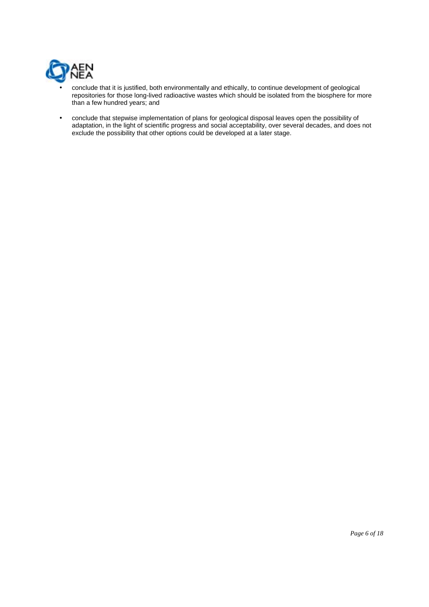

- conclude that it is justified, both environmentally and ethically, to continue development of geological repositories for those long-lived radioactive wastes which should be isolated from the biosphere for more than a few hundred years; and
- conclude that stepwise implementation of plans for geological disposal leaves open the possibility of adaptation, in the light of scientific progress and social acceptability, over several decades, and does not exclude the possibility that other options could be developed at a later stage.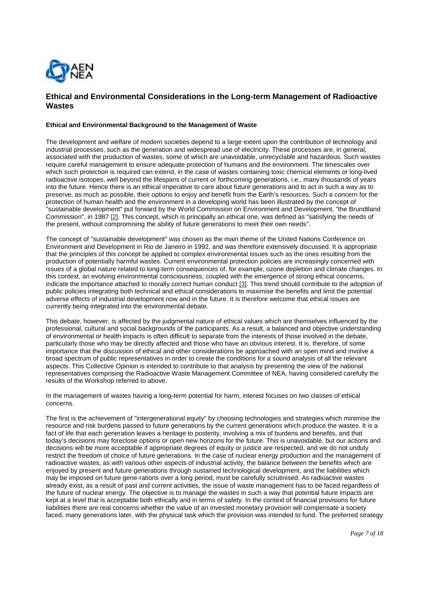

# **Ethical and Environmental Considerations in the Long-term Management of Radioactive Wastes**

#### **Ethical and Environmental Background to the Management of Waste**

The development and welfare of modern societies depend to a large extent upon the contribution of technology and industrial processes, such as the generation and widespread use of electricity. These processes are, in general, associated with the production of wastes, some of which are unavoidable, unrecyclable and hazardous. Such wastes require careful management to ensure adequate protection of humans and the environment. The timescales over which such protection is required can extend, in the case of wastes containing toxic chemical elements or long-lived radioactive isotopes, well beyond the lifespans of current or forthcoming generations, i.e., many thousands of years into the future. Hence there is an ethical imperative to care about future generations and to act in such a way as to preserve, as much as possible, their options to enjoy and benefit from the Earth's resources. Such a concern for the protection of human health and the environment in a developing world has been illustrated by the concept of "sustainable development" put forward by the World Commission on Environment and Development, "the Brundtland Commission", in 1987 [2]. This concept, which is principally an ethical one, was defined as "satisfying the needs of the present, without compromising the ability of future generations to meet their own needs".

The concept of "sustainable development" was chosen as the main theme of the United Nations Conference on Environment and Development in Rio de Janeiro in 1992, and was therefore extensively discussed. It is appropriate that the principles of this concept be applied to complex environmental issues such as the ones resulting from the production of potentially harmful wastes. Current environmental protection policies are increasingly concerned with issues of a global nature related to long-term consequences of, for example, ozone depletion and climate changes. In this context, an evolving environmental consciousness, coupled with the emergence of strong ethical concerns, indicate the importance attached to morally correct human conduct [3]. This trend should contribute to the adoption of public policies integrating both technical and ethical considerations to maximise the benefits and limit the potential adverse effects of industrial development now and in the future. It is therefore welcome that ethical issues are currently being integrated into the environmental debate.

This debate, however, is affected by the judgmental nature of ethical values which are themselves influenced by the professional, cultural and social backgrounds of the participants. As a result, a balanced and objective understanding of environmental or health impacts is often difficult to separate from the interests of those involved in the debate, particularly those who may be directly affected and those who have an obvious interest. It is, therefore, of some importance that the discussion of ethical and other considerations be approached with an open mind and involve a broad spectrum of public representatives in order to create the conditions for a sound analysis of all the relevant aspects. This Collective Opinion is intended to contribute to that analysis by presenting the view of the national representatives comprising the Radioactive Waste Management Committee of NEA, having considered carefully the results of the Workshop referred to above.

In the management of wastes having a long-term potential for harm, interest focuses on two classes of ethical concerns.

The first is the achievement of "intergenerational equity" by choosing technologies and strategies which minimise the resource and risk burdens passed to future generations by the current generations which produce the wastes. It is a fact of life that each generation leaves a heritage to posterity, involving a mix of burdens and benefits, and that today's decisions may foreclose options or open new horizons for the future. This is unavoidable, but our actions and decisions will be more acceptable if appropriate degrees of equity or justice are respected, and we do not unduly restrict the freedom of choice of future generations. In the case of nuclear energy production and the management of radioactive wastes, as with various other aspects of industrial activity, the balance between the benefits which are enjoyed by present and future generations through sustained technological development, and the liabilities which may be imposed on future gene-rations over a long period, must be carefully scrutinised. As radioactive wastes already exist, as a result of past and current activities, the issue of waste management has to be faced regardless of the future of nuclear energy. The objective is to manage the wastes in such a way that potential future impacts are kept at a level that is acceptable both ethically and in terms of safety. In the context of financial provisions for future liabilities there are real concerns whether the value of an invested monetary provision will compensate a society faced, many generations later, with the physical task which the provision was intended to fund. The preferred strategy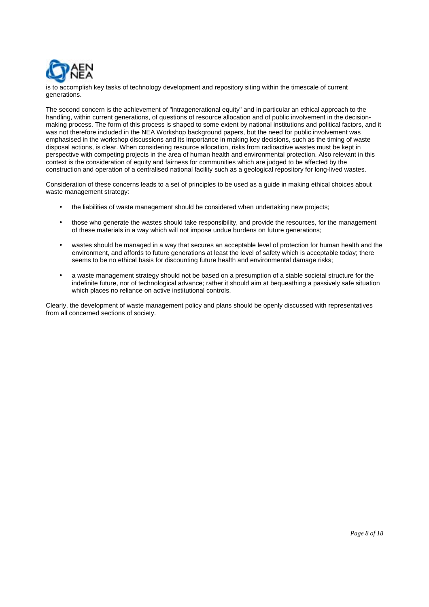

is to accomplish key tasks of technology development and repository siting within the timescale of current generations.

The second concern is the achievement of "intragenerational equity" and in particular an ethical approach to the handling, within current generations, of questions of resource allocation and of public involvement in the decisionmaking process. The form of this process is shaped to some extent by national institutions and political factors, and it was not therefore included in the NEA Workshop background papers, but the need for public involvement was emphasised in the workshop discussions and its importance in making key decisions, such as the timing of waste disposal actions, is clear. When considering resource allocation, risks from radioactive wastes must be kept in perspective with competing projects in the area of human health and environmental protection. Also relevant in this context is the consideration of equity and fairness for communities which are judged to be affected by the construction and operation of a centralised national facility such as a geological repository for long-lived wastes.

Consideration of these concerns leads to a set of principles to be used as a guide in making ethical choices about waste management strategy:

- the liabilities of waste management should be considered when undertaking new projects;
- those who generate the wastes should take responsibility, and provide the resources, for the management of these materials in a way which will not impose undue burdens on future generations;
- wastes should be managed in a way that secures an acceptable level of protection for human health and the environment, and affords to future generations at least the level of safety which is acceptable today; there seems to be no ethical basis for discounting future health and environmental damage risks;
- a waste management strategy should not be based on a presumption of a stable societal structure for the indefinite future, nor of technological advance; rather it should aim at bequeathing a passively safe situation which places no reliance on active institutional controls.

Clearly, the development of waste management policy and plans should be openly discussed with representatives from all concerned sections of society.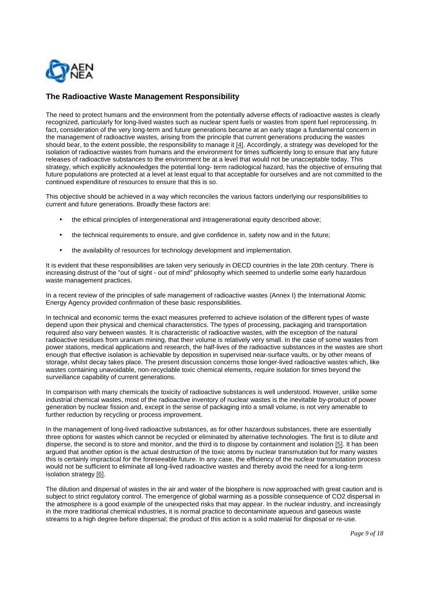

# **The Radioactive Waste Management Responsibility**

The need to protect humans and the environment from the potentially adverse effects of radioactive wastes is clearly recognized, particularly for long-lived wastes such as nuclear spent fuels or wastes from spent fuel reprocessing. In fact, consideration of the very long-term and future generations became at an early stage a fundamental concern in the management of radioactive wastes, arising from the principle that current generations producing the wastes should bear, to the extent possible, the responsibility to manage it [4]. Accordingly, a strategy was developed for the isolation of radioactive wastes from humans and the environment for times sufficiently long to ensure that any future releases of radioactive substances to the environment be at a level that would not be unacceptable today. This strategy, which explicitly acknowledges the potential long- term radiological hazard, has the objective of ensuring that future populations are protected at a level at least equal to that acceptable for ourselves and are not committed to the continued expenditure of resources to ensure that this is so.

This objective should be achieved in a way which reconciles the various factors underlying our responsibilities to current and future generations. Broadly these factors are:

- the ethical principles of intergenerational and intragenerational equity described above;
- the technical requirements to ensure, and give confidence in, safety now and in the future;
- the availability of resources for technology development and implementation.

It is evident that these responsibilities are taken very seriously in OECD countries in the late 20th century. There is increasing distrust of the "out of sight - out of mind" philosophy which seemed to underlie some early hazardous waste management practices.

In a recent review of the principles of safe management of radioactive wastes (Annex I) the International Atomic Energy Agency provided confirmation of these basic responsibilities.

In technical and economic terms the exact measures preferred to achieve isolation of the different types of waste depend upon their physical and chemical characteristics. The types of processing, packaging and transportation required also vary between wastes. It is characteristic of radioactive wastes, with the exception of the natural radioactive residues from uranium mining, that their volume is relatively very small. In the case of some wastes from power stations, medical applications and research, the half-lives of the radioactive substances in the wastes are short enough that effective isolation is achievable by deposition in supervised near-surface vaults, or by other means of storage, whilst decay takes place. The present discussion concerns those longer-lived radioactive wastes which, like wastes containing unavoidable, non-recyclable toxic chemical elements, require isolation for times beyond the surveillance capability of current generations.

In comparison with many chemicals the toxicity of radioactive substances is well understood. However, unlike some industrial chemical wastes, most of the radioactive inventory of nuclear wastes is the inevitable by-product of power generation by nuclear fission and, except in the sense of packaging into a small volume, is not very amenable to further reduction by recycling or process improvement.

In the management of long-lived radioactive substances, as for other hazardous substances, there are essentially three options for wastes which cannot be recycled or eliminated by alternative technologies. The first is to dilute and disperse, the second is to store and monitor, and the third is to dispose by containment and isolation [5]. It has been argued that another option is the actual destruction of the toxic atoms by nuclear transmutation but for many wastes this is certainly impractical for the foreseeable future. In any case, the efficiency of the nuclear transmutation process would not be sufficient to eliminate all long-lived radioactive wastes and thereby avoid the need for a long-term isolation strategy [6].

The dilution and dispersal of wastes in the air and water of the biosphere is now approached with great caution and is subject to strict regulatory control. The emergence of global warming as a possible consequence of CO2 dispersal in the atmosphere is a good example of the unexpected risks that may appear. In the nuclear industry, and increasingly in the more traditional chemical industries, it is normal practice to decontaminate aqueous and gaseous waste streams to a high degree before dispersal; the product of this action is a solid material for disposal or re-use.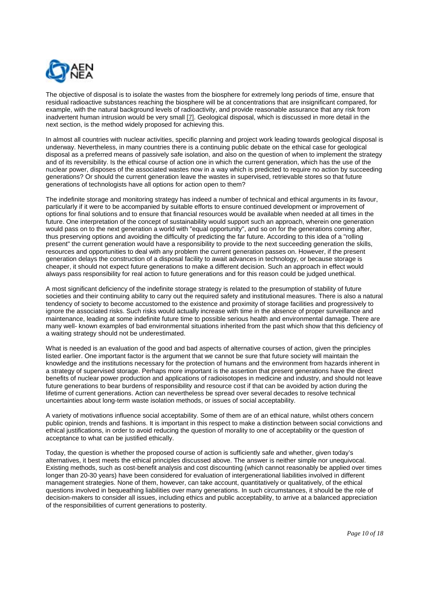

The objective of disposal is to isolate the wastes from the biosphere for extremely long periods of time, ensure that residual radioactive substances reaching the biosphere will be at concentrations that are insignificant compared, for example, with the natural background levels of radioactivity, and provide reasonable assurance that any risk from inadvertent human intrusion would be very small [7]. Geological disposal, which is discussed in more detail in the next section, is the method widely proposed for achieving this.

In almost all countries with nuclear activities, specific planning and project work leading towards geological disposal is underway. Nevertheless, in many countries there is a continuing public debate on the ethical case for geological disposal as a preferred means of passively safe isolation, and also on the question of when to implement the strategy and of its reversibility. Is the ethical course of action one in which the current generation, which has the use of the nuclear power, disposes of the associated wastes now in a way which is predicted to require no action by succeeding generations? Or should the current generation leave the wastes in supervised, retrievable stores so that future generations of technologists have all options for action open to them?

The indefinite storage and monitoring strategy has indeed a number of technical and ethical arguments in its favour, particularly if it were to be accompanied by suitable efforts to ensure continued development or improvement of options for final solutions and to ensure that financial resources would be available when needed at all times in the future. One interpretation of the concept of sustainability would support such an approach, wherein one generation would pass on to the next generation a world with "equal opportunity", and so on for the generations coming after, thus preserving options and avoiding the difficulty of predicting the far future. According to this idea of a "rolling present" the current generation would have a responsibility to provide to the next succeeding generation the skills, resources and opportunities to deal with any problem the current generation passes on. However, if the present generation delays the construction of a disposal facility to await advances in technology, or because storage is cheaper, it should not expect future generations to make a different decision. Such an approach in effect would always pass responsibility for real action to future generations and for this reason could be judged unethical.

A most significant deficiency of the indefinite storage strategy is related to the presumption of stability of future societies and their continuing ability to carry out the required safety and institutional measures. There is also a natural tendency of society to become accustomed to the existence and proximity of storage facilities and progressively to ignore the associated risks. Such risks would actually increase with time in the absence of proper surveillance and maintenance, leading at some indefinite future time to possible serious health and environmental damage. There are many well- known examples of bad environmental situations inherited from the past which show that this deficiency of a waiting strategy should not be underestimated.

What is needed is an evaluation of the good and bad aspects of alternative courses of action, given the principles listed earlier. One important factor is the argument that we cannot be sure that future society will maintain the knowledge and the institutions necessary for the protection of humans and the environment from hazards inherent in a strategy of supervised storage. Perhaps more important is the assertion that present generations have the direct benefits of nuclear power production and applications of radioisotopes in medicine and industry, and should not leave future generations to bear burdens of responsibility and resource cost if that can be avoided by action during the lifetime of current generations. Action can nevertheless be spread over several decades to resolve technical uncertainties about long-term waste isolation methods, or issues of social acceptability.

A variety of motivations influence social acceptability. Some of them are of an ethical nature, whilst others concern public opinion, trends and fashions. It is important in this respect to make a distinction between social convictions and ethical justifications, in order to avoid reducing the question of morality to one of acceptability or the question of acceptance to what can be justified ethically.

Today, the question is whether the proposed course of action is sufficiently safe and whether, given today's alternatives, it best meets the ethical principles discussed above. The answer is neither simple nor unequivocal. Existing methods, such as cost-benefit analysis and cost discounting (which cannot reasonably be applied over times longer than 20-30 years) have been considered for evaluation of intergenerational liabilities involved in different management strategies. None of them, however, can take account, quantitatively or qualitatively, of the ethical questions involved in bequeathing liabilities over many generations. In such circumstances, it should be the role of decision-makers to consider all issues, including ethics and public acceptability, to arrive at a balanced appreciation of the responsibilities of current generations to posterity.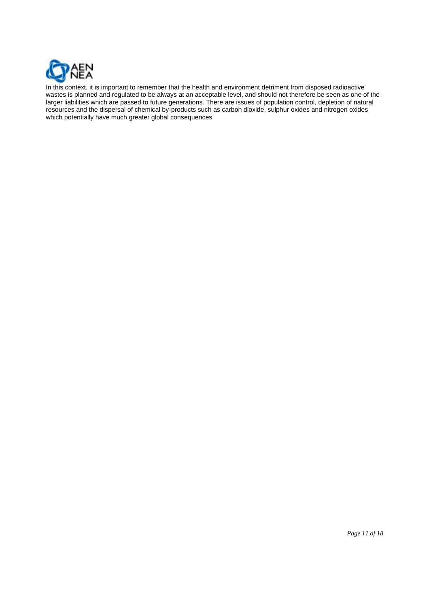

In this context, it is important to remember that the health and environment detriment from disposed radioactive wastes is planned and regulated to be always at an acceptable level, and should not therefore be seen as one of the larger liabilities which are passed to future generations. There are issues of population control, depletion of natural resources and the dispersal of chemical by-products such as carbon dioxide, sulphur oxides and nitrogen oxides which potentially have much greater global consequences.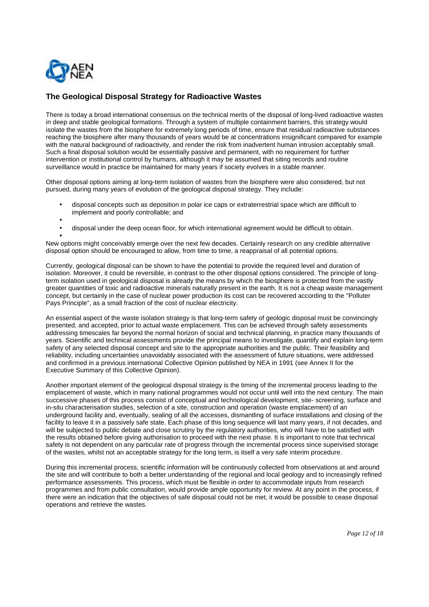

# **The Geological Disposal Strategy for Radioactive Wastes**

There is today a broad international consensus on the technical merits of the disposal of long-lived radioactive wastes in deep and stable geological formations. Through a system of multiple containment barriers, this strategy would isolate the wastes from the biosphere for extremely long periods of time, ensure that residual radioactive substances reaching the biosphere after many thousands of years would be at concentrations insignificant compared for example with the natural background of radioactivity, and render the risk from inadvertent human intrusion acceptably small. Such a final disposal solution would be essentially passive and permanent, with no requirement for further intervention or institutional control by humans, although it may be assumed that siting records and routine surveillance would in practice be maintained for many years if society evolves in a stable manner.

Other disposal options aiming at long-term isolation of wastes from the biosphere were also considered, but not pursued, during many years of evolution of the geological disposal strategy. They include:

- disposal concepts such as deposition in polar ice caps or extraterrestrial space which are difficult to implement and poorly controllable; and
- •
- disposal under the deep ocean floor, for which international agreement would be difficult to obtain.

• New options might conceivably emerge over the next few decades. Certainly research on any credible alternative disposal option should be encouraged to allow, from time to time, a reappraisal of all potential options.

Currently, geological disposal can be shown to have the potential to provide the required level and duration of isolation. Moreover, it could be reversible, in contrast to the other disposal options considered. The principle of longterm isolation used in geological disposal is already the means by which the biosphere is protected from the vastly greater quantities of toxic and radioactive minerals naturally present in the earth. It is not a cheap waste management concept, but certainly in the case of nuclear power production its cost can be recovered according to the "Polluter Pays Principle", as a small fraction of the cost of nuclear electricity.

An essential aspect of the waste isolation strategy is that long-term safety of geologic disposal must be convincingly presented, and accepted, prior to actual waste emplacement. This can be achieved through safety assessments addressing timescales far beyond the normal horizon of social and technical planning, in practice many thousands of years. Scientific and technical assessments provide the principal means to investigate, quantify and explain long-term safety of any selected disposal concept and site to the appropriate authorities and the public. Their feasibility and reliability, including uncertainties unavoidably associated with the assessment of future situations, were addressed and confirmed in a previous international Collective Opinion published by NEA in 1991 (see Annex II for the Executive Summary of this Collective Opinion).

Another important element of the geological disposal strategy is the timing of the incremental process leading to the emplacement of waste, which in many national programmes would not occur until well into the next century. The main successive phases of this process consist of conceptual and technological development, site- screening, surface and in-situ characterisation studies, selection of a site, construction and operation (waste emplacement) of an underground facility and, eventually, sealing of all the accesses, dismantling of surface installations and closing of the facility to leave it in a passively safe state. Each phase of this long sequence will last many years, if not decades, and will be subjected to public debate and close scrutiny by the regulatory authorities, who will have to be satisfied with the results obtained before giving authorisation to proceed with the next phase. It is important to note that technical safety is not dependent on any particular rate of progress through the incremental process since supervised storage of the wastes, whilst not an acceptable strategy for the long term, is itself a very safe interim procedure.

During this incremental process, scientific information will be continuously collected from observations at and around the site and will contribute to both a better understanding of the regional and local geology and to increasingly refined performance assessments. This process, which must be flexible in order to accommodate inputs from research programmes and from public consultation, would provide ample opportunity for review. At any point in the process, if there were an indication that the objectives of safe disposal could not be met, it would be possible to cease disposal operations and retrieve the wastes.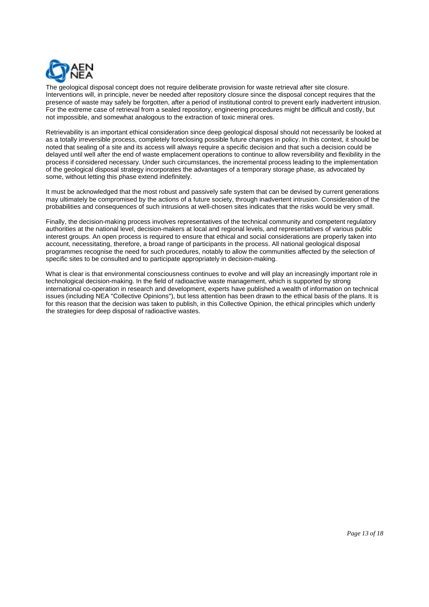

The geological disposal concept does not require deliberate provision for waste retrieval after site closure. Interventions will, in principle, never be needed after repository closure since the disposal concept requires that the presence of waste may safely be forgotten, after a period of institutional control to prevent early inadvertent intrusion. For the extreme case of retrieval from a sealed repository, engineering procedures might be difficult and costly, but not impossible, and somewhat analogous to the extraction of toxic mineral ores.

Retrievability is an important ethical consideration since deep geological disposal should not necessarily be looked at as a totally irreversible process, completely foreclosing possible future changes in policy. In this context, it should be noted that sealing of a site and its access will always require a specific decision and that such a decision could be delayed until well after the end of waste emplacement operations to continue to allow reversibility and flexibility in the process if considered necessary. Under such circumstances, the incremental process leading to the implementation of the geological disposal strategy incorporates the advantages of a temporary storage phase, as advocated by some, without letting this phase extend indefinitely.

It must be acknowledged that the most robust and passively safe system that can be devised by current generations may ultimately be compromised by the actions of a future society, through inadvertent intrusion. Consideration of the probabilities and consequences of such intrusions at well-chosen sites indicates that the risks would be very small.

Finally, the decision-making process involves representatives of the technical community and competent regulatory authorities at the national level, decision-makers at local and regional levels, and representatives of various public interest groups. An open process is required to ensure that ethical and social considerations are properly taken into account, necessitating, therefore, a broad range of participants in the process. All national geological disposal programmes recognise the need for such procedures, notably to allow the communities affected by the selection of specific sites to be consulted and to participate appropriately in decision-making.

What is clear is that environmental consciousness continues to evolve and will play an increasingly important role in technological decision-making. In the field of radioactive waste management, which is supported by strong international co-operation in research and development, experts have published a wealth of information on technical issues (including NEA "Collective Opinions"), but less attention has been drawn to the ethical basis of the plans. It is for this reason that the decision was taken to publish, in this Collective Opinion, the ethical principles which underly the strategies for deep disposal of radioactive wastes.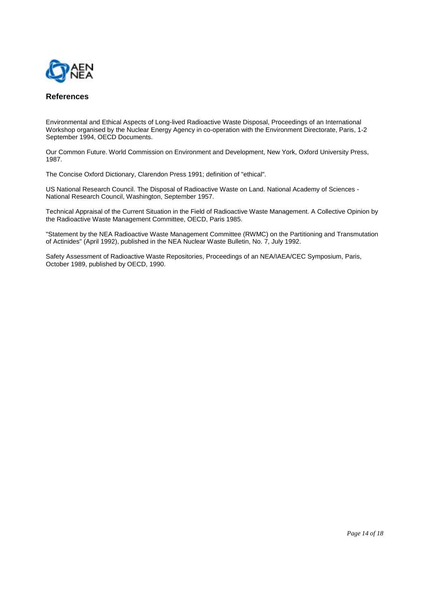

# **References**

Environmental and Ethical Aspects of Long-lived Radioactive Waste Disposal, Proceedings of an International Workshop organised by the Nuclear Energy Agency in co-operation with the Environment Directorate, Paris, 1-2 September 1994, OECD Documents.

Our Common Future. World Commission on Environment and Development, New York, Oxford University Press, 1987.

The Concise Oxford Dictionary, Clarendon Press 1991; definition of "ethical".

US National Research Council. The Disposal of Radioactive Waste on Land. National Academy of Sciences - National Research Council, Washington, September 1957.

Technical Appraisal of the Current Situation in the Field of Radioactive Waste Management. A Collective Opinion by the Radioactive Waste Management Committee, OECD, Paris 1985.

"Statement by the NEA Radioactive Waste Management Committee (RWMC) on the Partitioning and Transmutation of Actinides" (April 1992), published in the NEA Nuclear Waste Bulletin, No. 7, July 1992.

Safety Assessment of Radioactive Waste Repositories, Proceedings of an NEA/IAEA/CEC Symposium, Paris, October 1989, published by OECD, 1990.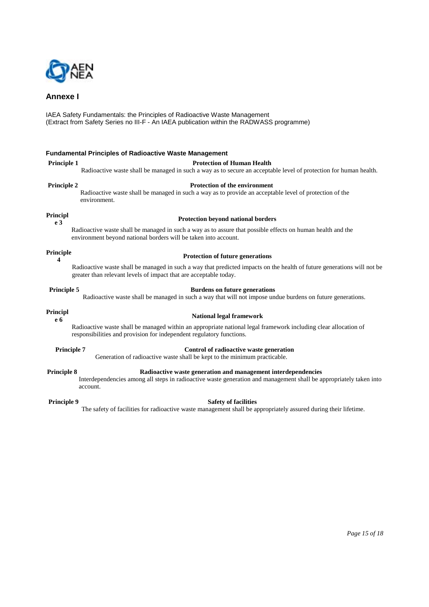

# **Annexe I**

IAEA Safety Fundamentals: the Principles of Radioactive Waste Management (Extract from Safety Series no III-F - An IAEA publication within the RADWASS programme)

#### **Fundamental Principles of Radioactive Waste Management**

### **Principle 1** Protection of Human Health

Radioactive waste shall be managed in such a way as to secure an acceptable level of protection for human health.

**Principle 2** Protection of the environment

Radioactive waste shall be managed in such a way as to provide an acceptable level of protection of the environment.

### **Principl**

# **e 3 Protection beyond national borders**

Radioactive waste shall be managed in such a way as to assure that possible effects on human health and the environment beyond national borders will be taken into account.

## **Principle**

# **<sup>4</sup> Protection of future generations**

Radioactive waste shall be managed in such a way that predicted impacts on the health of future generations will not be greater than relevant levels of impact that are acceptable today.

### **Principle 5 Burdens on future generations**

Radioactive waste shall be managed in such a way that will not impose undue burdens on future generations.

# **Principl**

### **e 6 National legal framework**

Radioactive waste shall be managed within an appropriate national legal framework including clear allocation of responsibilities and provision for independent regulatory functions.

**Principle 7** Control of radioactive waste generation

# Generation of radioactive waste shall be kept to the minimum practicable.

#### **Principle 8 Radioactive waste generation and management interdependencies**

Interdependencies among all steps in radioactive waste generation and management shall be appropriately taken into account.

#### **Principle 9** Safety of facilities

The safety of facilities for radioactive waste management shall be appropriately assured during their lifetime.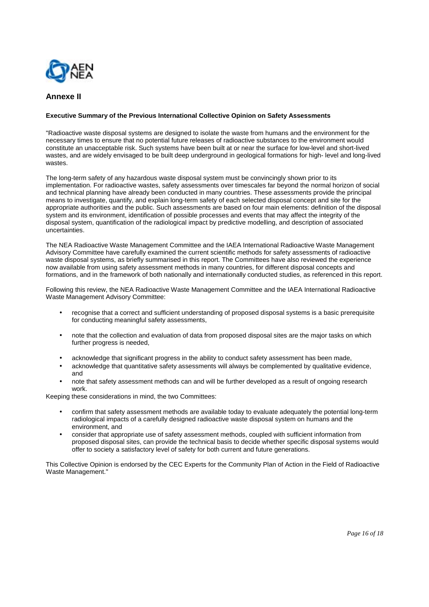

# **Annexe II**

### **Executive Summary of the Previous International Collective Opinion on Safety Assessments**

"Radioactive waste disposal systems are designed to isolate the waste from humans and the environment for the necessary times to ensure that no potential future releases of radioactive substances to the environment would constitute an unacceptable risk. Such systems have been built at or near the surface for low-level and short-lived wastes, and are widely envisaged to be built deep underground in geological formations for high- level and long-lived wastes.

The long-term safety of any hazardous waste disposal system must be convincingly shown prior to its implementation. For radioactive wastes, safety assessments over timescales far beyond the normal horizon of social and technical planning have already been conducted in many countries. These assessments provide the principal means to investigate, quantify, and explain long-term safety of each selected disposal concept and site for the appropriate authorities and the public. Such assessments are based on four main elements: definition of the disposal system and its environment, identification of possible processes and events that may affect the integrity of the disposal system, quantification of the radiological impact by predictive modelling, and description of associated uncertainties.

The NEA Radioactive Waste Management Committee and the IAEA International Radioactive Waste Management Advisory Committee have carefully examined the current scientific methods for safety assessments of radioactive waste disposal systems, as briefly summarised in this report. The Committees have also reviewed the experience now available from using safety assessment methods in many countries, for different disposal concepts and formations, and in the framework of both nationally and internationally conducted studies, as referenced in this report.

Following this review, the NEA Radioactive Waste Management Committee and the IAEA International Radioactive Waste Management Advisory Committee:

- recognise that a correct and sufficient understanding of proposed disposal systems is a basic prerequisite for conducting meaningful safety assessments,
- note that the collection and evaluation of data from proposed disposal sites are the major tasks on which further progress is needed,
- acknowledge that significant progress in the ability to conduct safety assessment has been made,
- acknowledge that quantitative safety assessments will always be complemented by qualitative evidence, and
- note that safety assessment methods can and will be further developed as a result of ongoing research work.

Keeping these considerations in mind, the two Committees:

- confirm that safety assessment methods are available today to evaluate adequately the potential long-term radiological impacts of a carefully designed radioactive waste disposal system on humans and the environment, and
- consider that appropriate use of safety assessment methods, coupled with sufficient information from proposed disposal sites, can provide the technical basis to decide whether specific disposal systems would offer to society a satisfactory level of safety for both current and future generations.

This Collective Opinion is endorsed by the CEC Experts for the Community Plan of Action in the Field of Radioactive Waste Management."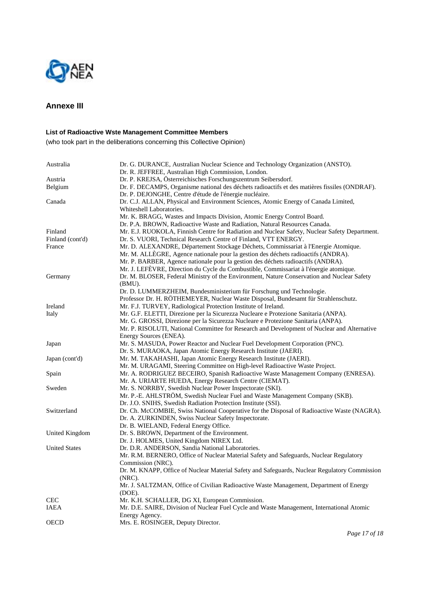

# **Annexe III**

## **List of Radioactive Wste Management Committee Members**

(who took part in the deliberations concerning this Collective Opinion)

| Australia            | Dr. G. DURANCE, Australian Nuclear Science and Technology Organization (ANSTO).<br>Dr. R. JEFFREE, Australian High Commission, London.                   |
|----------------------|----------------------------------------------------------------------------------------------------------------------------------------------------------|
|                      |                                                                                                                                                          |
| Austria              | Dr. P. KREJSA, Österreichisches Forschungszentrum Seibersdorf.                                                                                           |
| Belgium              | Dr. F. DECAMPS, Organisme national des déchets radioactifs et des matières fissiles (ONDRAF).<br>Dr. P. DEJONGHE, Centre d'étude de l'énergie nucléaire. |
| Canada               | Dr. C.J. ALLAN, Physical and Environment Sciences, Atomic Energy of Canada Limited,                                                                      |
|                      | Whiteshell Laboratories.                                                                                                                                 |
|                      | Mr. K. BRAGG, Wastes and Impacts Division, Atomic Energy Control Board.                                                                                  |
|                      | Dr. P.A. BROWN, Radioactive Waste and Radiation, Natural Resources Canada.                                                                               |
| Finland              | Mr. E.J. RUOKOLA, Finnish Centre for Radiation and Nuclear Safety, Nuclear Safety Department.                                                            |
| Finland (cont'd)     | Dr. S. VUORI, Technical Research Centre of Finland, VTT ENERGY.                                                                                          |
| France               | Mr. D. ALEXANDRE, Département Stockage Déchets, Commissariat à l'Energie Atomique.                                                                       |
|                      | Mr. M. ALLÈGRE, Agence nationale pour la gestion des déchets radioactifs (ANDRA).                                                                        |
|                      | Mr. P. BARBER, Agence nationale pour la gestion des déchets radioactifs (ANDRA).                                                                         |
|                      | Mr. J. LEFÈVRE, Direction du Cycle du Combustible, Commissariat à l'énergie atomique.                                                                    |
|                      | Dr. M. BLOSER, Federal Ministry of the Environment, Nature Conservation and Nuclear Safety                                                               |
| Germany              | (BMU).                                                                                                                                                   |
|                      | Dr. D. LUMMERZHEIM, Bundesministerium für Forschung und Technologie.                                                                                     |
|                      | Professor Dr. H. RÖTHEMEYER, Nuclear Waste Disposal, Bundesamt für Strahlenschutz.                                                                       |
| Ireland              | Mr. F.J. TURVEY, Radiological Protection Institute of Ireland.                                                                                           |
| Italy                | Mr. G.F. ELETTI, Direzione per la Sicurezza Nucleare e Protezione Sanitaria (ANPA).                                                                      |
|                      | Mr. G. GROSSI, Direzione per la Sicurezza Nucleare e Protezione Sanitaria (ANPA).                                                                        |
|                      | Mr. P. RISOLUTI, National Committee for Research and Development of Nuclear and Alternative                                                              |
|                      | Energy Sources (ENEA).                                                                                                                                   |
| Japan                | Mr. S. MASUDA, Power Reactor and Nuclear Fuel Development Corporation (PNC).                                                                             |
|                      | Dr. S. MURAOKA, Japan Atomic Energy Research Institute (JAERI).                                                                                          |
| Japan (cont'd)       | Mr. M. TAKAHASHI, Japan Atomic Energy Research Institute (JAERI).                                                                                        |
|                      | Mr. M. URAGAMI, Steering Committee on High-level Radioactive Waste Project.                                                                              |
| Spain                | Mr. A. RODRIGUEZ BECEIRO, Spanish Radioactive Waste Management Company (ENRESA).                                                                         |
|                      | Mr. A. URIARTE HUEDA, Energy Research Centre (CIEMAT).                                                                                                   |
| Sweden               | Mr. S. NORRBY, Swedish Nuclear Power Inspectorate (SKI).                                                                                                 |
|                      | Mr. P.-E. AHLSTRÖM, Swedish Nuclear Fuel and Waste Management Company (SKB).                                                                             |
|                      | Dr. J.O. SNIHS, Swedish Radiation Protection Institute (SSI).                                                                                            |
| Switzerland          | Dr. Ch. McCOMBIE, Swiss National Cooperative for the Disposal of Radioactive Waste (NAGRA).                                                              |
|                      | Dr. A. ZURKINDEN, Swiss Nuclear Safety Inspectorate.                                                                                                     |
|                      | Dr. B. WIELAND, Federal Energy Office.                                                                                                                   |
| United Kingdom       | Dr. S. BROWN, Department of the Environment.                                                                                                             |
|                      | Dr. J. HOLMES, United Kingdom NIREX Ltd.                                                                                                                 |
| <b>United States</b> | Dr. D.R. ANDERSON, Sandia National Laboratories.                                                                                                         |
|                      | Mr. R.M. BERNERO, Office of Nuclear Material Safety and Safeguards, Nuclear Regulatory                                                                   |
|                      | Commission (NRC).                                                                                                                                        |
|                      | Dr. M. KNAPP, Office of Nuclear Material Safety and Safeguards, Nuclear Regulatory Commission<br>$(NRC)$ .                                               |
|                      | Mr. J. SALTZMAN, Office of Civilian Radioactive Waste Management, Department of Energy                                                                   |
|                      | (DOE).                                                                                                                                                   |
| CEC                  | Mr. K.H. SCHALLER, DG XI, European Commission.                                                                                                           |
| IAEA                 | Mr. D.E. SAIRE, Division of Nuclear Fuel Cycle and Waste Management, International Atomic                                                                |
|                      | Energy Agency.                                                                                                                                           |
| <b>OECD</b>          | Mrs. E. ROSINGER, Deputy Director.                                                                                                                       |
|                      |                                                                                                                                                          |